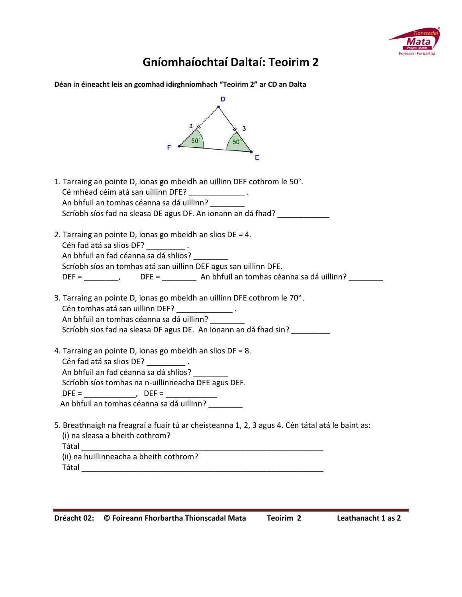

## **Gníomhaíochtaí Daltaí: Teoirim 2**

| D<br>3<br>50<br>50<br>Е                                                                                                                                                                                                                                                                                                                                                                                                                                                                                                                      |
|----------------------------------------------------------------------------------------------------------------------------------------------------------------------------------------------------------------------------------------------------------------------------------------------------------------------------------------------------------------------------------------------------------------------------------------------------------------------------------------------------------------------------------------------|
| 1. Tarraing an pointe D, ionas go mbeidh an uillinn DEF cothrom le 50°.<br>Cé mhéad céim atá san uillinn DFE? _______________.<br>An bhfuil an tomhas céanna sa dá uillinn?<br>Scríobh síos fad na sleasa DE agus DF. An ionann an dá fhad?                                                                                                                                                                                                                                                                                                  |
| 2. Tarraing an pointe D, ionas go mbeidh an slios $DE = 4$ .<br>Cén fad atá sa slios DF? _________.<br>An bhfuil an fad céanna sa dá shlios?<br>Scríobh síos an tomhas atá san uillinn DEF agus san uillinn DFE.<br>DEF = ___________, DFE = ___________ An bhfuil an tomhas céanna sa dá uillinn? _______                                                                                                                                                                                                                                   |
| 3. Tarraing an pointe D, ionas go mbeidh an uillinn DFE cothrom le 70°.<br>Cén tomhas atá san uillinn DEF? ______________.<br>An bhfuil an tomhas céanna sa dá uillinn?<br>Scríobh sios fad na sleasa DF agus DE. An ionann an dá fhad sin?                                                                                                                                                                                                                                                                                                  |
| 4. Tarraing an pointe D, ionas go mbeidh an slios DF = 8.<br>Cén fad atá sa slios DE? __________.<br>An bhfuil an fad céanna sa dá shlios?<br>Scríobh síos tomhas na n-uillinneacha DFE agus DEF.<br>An bhfuil an tomhas céanna sa dá uillinn?                                                                                                                                                                                                                                                                                               |
| 5. Breathnaigh na freagraí a fuair tú ar cheisteanna 1, 2, 3 agus 4. Cén tátal atá le baint as:<br>(i) na sleasa a bheith cothrom?<br><b>Tátal</b> and the state of the state of the state of the state of the state of the state of the state of the state of the state of the state of the state of the state of the state of the state of the state of the state of th<br>(ii) na huillinneacha a bheith cothrom?<br><b>Tátal ann an t-Saonaich an t-Saonaich an t-Saonaich an t-Saonaich an t-Saonaich an t-Saonaich an t-Saonaich a</b> |

J,